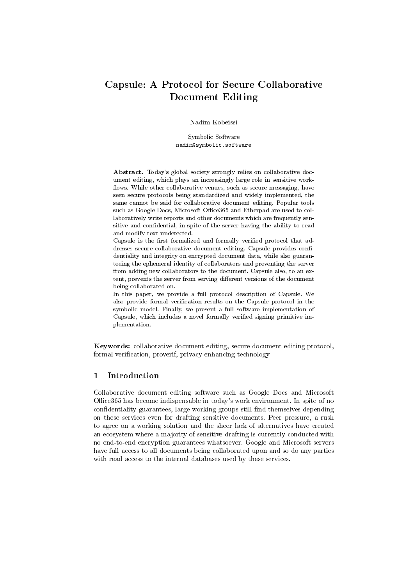# Capsule: A Protocol for Secure Collaborative Document Editing

Nadim Kobeissi

Symbolic Software nadim@symbolic.software

Abstract. Today's global society strongly relies on collaborative document editing, which plays an increasingly large role in sensitive work flows. While other collaborative venues, such as secure messaging, have seen secure protocols being standardized and widely implemented, the same cannot be said for collaborative document editing. Popular tools such as Google Docs, Microsoft Office365 and Etherpad are used to collaboratively write reports and other documents which are frequently sensitive and confidential, in spite of the server having the ability to read and modify text undetected.

Capsule is the first formalized and formally verified protocol that addresses secure collaborative document editing. Capsule provides confidentiality and integrity on encrypted document data, while also guaranteeing the ephemeral identity of collaborators and preventing the server from adding new collaborators to the document. Capsule also, to an extent, prevents the server from serving different versions of the document being collaborated on.

In this paper, we provide a full protocol description of Capsule. We also provide formal verification results on the Capsule protocol in the symbolic model. Finally, we present a full software implementation of Capsule, which includes a novel formally verified signing primitive implementation.

Keywords: collaborative document editing, secure document editing protocol, formal verification, proverif, privacy enhancing technology

# 1 Introduction

Collaborative document editing software such as Google Docs and Microsoft Office365 has become indispensable in today's work environment. In spite of no confidentiality guarantees, large working groups still find themselves depending on these services even for drafting sensitive documents. Peer pressure, a rush to agree on a working solution and the sheer lack of alternatives have created an ecosystem where a majority of sensitive drafting is currently conducted with no end-to-end encryption guarantees whatsoever. Google and Microsoft servers have full access to all documents being collaborated upon and so do any parties with read access to the internal databases used by these services.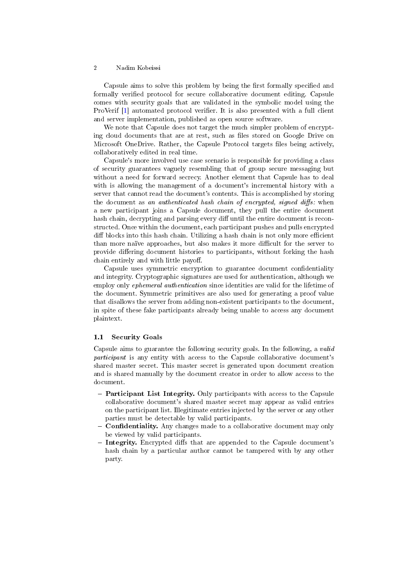<span id="page-1-1"></span>Capsule aims to solve this problem by being the first formally specified and formally verified protocol for secure collaborative document editing. Capsule comes with security goals that are validated in the symbolic model using the ProVerif [\[1\]](#page-13-0) automated protocol verifier. It is also presented with a full client and server implementation, published as open source software.

We note that Capsule does not target the much simpler problem of encrypting cloud documents that are at rest, such as files stored on Google Drive on Microsoft OneDrive. Rather, the Capsule Protocol targets files being actively, collaboratively edited in real time.

Capsule's more involved use case scenario is responsible for providing a class of security guarantees vaguely resembling that of group secure messaging but without a need for forward secrecy. Another element that Capsule has to deal with is allowing the management of a document's incremental history with a server that cannot read the document's contents. This is accomplished by storing the document as an authenticated hash chain of encrypted, signed diffs: when a new participant joins a Capsule document, they pull the entire document hash chain, decrypting and parsing every diff until the entire document is reconstructed. Once within the document, each participant pushes and pulls encrypted diff blocks into this hash chain. Utilizing a hash chain is not only more efficient than more naïve approaches, but also makes it more difficult for the server to provide differing document histories to participants, without forking the hash chain entirely and with little payoff.

Capsule uses symmetric encryption to guarantee document condentiality and integrity. Cryptographic signatures are used for authentication, although we employ only ephemeral authentication since identities are valid for the lifetime of the document. Symmetric primitives are also used for generating a proof value that disallows the server from adding non-existent participants to the document, in spite of these fake participants already being unable to access any document plaintext.

# <span id="page-1-0"></span>1.1 Security Goals

Capsule aims to guarantee the following security goals. In the following, a valid participant is any entity with access to the Capsule collaborative document's shared master secret. This master secret is generated upon document creation and is shared manually by the document creator in order to allow access to the document.

- Participant List Integrity. Only participants with access to the Capsule collaborative document's shared master secret may appear as valid entries on the participant list. Illegitimate entries injected by the server or any other parties must be detectable by valid participants.
- Confidentiality. Any changes made to a collaborative document may only be viewed by valid participants.
- Integrity. Encrypted diffs that are appended to the Capsule document's hash chain by a particular author cannot be tampered with by any other party.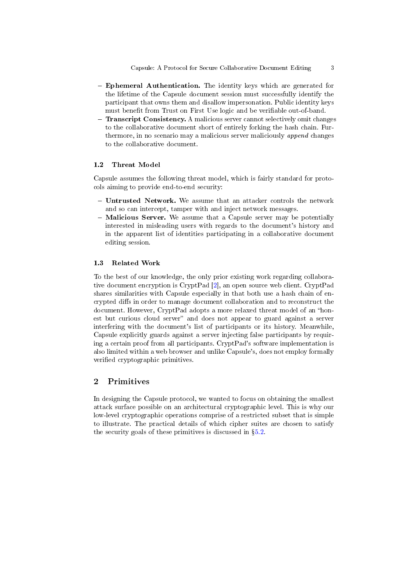- <span id="page-2-0"></span>- Ephemeral Authentication. The identity keys which are generated for the lifetime of the Capsule document session must successfully identify the participant that owns them and disallow impersonation. Public identity keys must benefit from Trust on First Use logic and be verifiable out-of-band.
- Transcript Consistency. A malicious server cannot selectively omit changes to the collaborative document short of entirely forking the hash chain. Furthermore, in no scenario may a malicious server maliciously append changes to the collaborative document.

# 1.2 Threat Model

Capsule assumes the following threat model, which is fairly standard for protocols aiming to provide end-to-end security:

- Untrusted Network. We assume that an attacker controls the network and so can intercept, tamper with and inject network messages.
- Malicious Server. We assume that a Capsule server may be potentially interested in misleading users with regards to the document's history and in the apparent list of identities participating in a collaborative document editing session.

### 1.3 Related Work

To the best of our knowledge, the only prior existing work regarding collaborative document encryption is CryptPad [\[2\]](#page-13-1), an open source web client. CryptPad shares similarities with Capsule especially in that both use a hash chain of encrypted diffs in order to manage document collaboration and to reconstruct the document. However, CryptPad adopts a more relaxed threat model of an "honest but curious cloud server" and does not appear to guard against a server interfering with the document's list of participants or its history. Meanwhile, Capsule explicitly guards against a server injecting false participants by requiring a certain proof from all participants. CryptPad's software implementation is also limited within a web browser and unlike Capsule's, does not employ formally verified cryptographic primitives.

# 2 Primitives

In designing the Capsule protocol, we wanted to focus on obtaining the smallest attack surface possible on an architectural cryptographic level. This is why our low-level cryptographic operations comprise of a restricted subset that is simple to illustrate. The practical details of which cipher suites are chosen to satisfy the security goals of these primitives is discussed in  $\S5.2$ .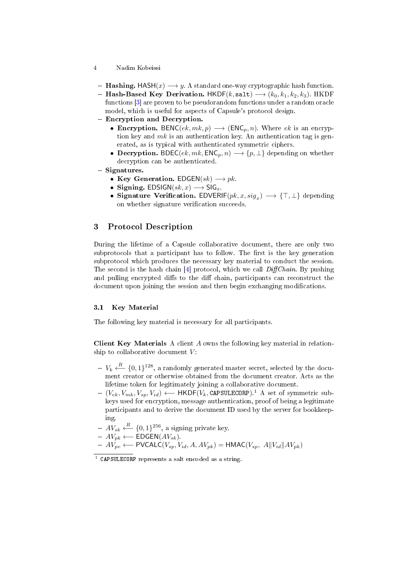- <span id="page-3-2"></span>4 Nadim Kobeissi
- Hashing. HASH $(x) \longrightarrow y$ . A standard one-way cryptographic hash function.
- Hash-Based Key Derivation.  $HKDF(k, sat) \rightarrow (k_0, k_1, k_2, k_3)$ . HKDF functions [\[3\]](#page-13-2) are proven to be pseudorandom functions under a random oracle model, which is useful for aspects of Capsule's protocol design.
- Encryption and Decryption.
	- Encryption. BENC $(ek, mk, p) \longrightarrow (ENC_p, n)$ . Where  $ek$  is an encryption key and  $mk$  is an authentication key. An authentication tag is generated, as is typical with authenticated symmetric ciphers.
	- Decryption. BDEC( $ek, mk, ENC_p, n) \longrightarrow \{p, \perp\}$  depending on whether decryption can be authenticated.
- $-$  Signatures.
	- Key Generation.  $EDGEN(sk) \longrightarrow pk$ .
	- Signing.  $EDSIGN(sk, x) \longrightarrow SIG_{x}$ .
	- Signature Verification. EDVERIF $(pk, x, sig_x) \longrightarrow {\{\top, \bot\}}$  depending on whether signature verification succeeds.

# 3 Protocol Description

During the lifetime of a Capsule collaborative document, there are only two subprotocols that a participant has to follow. The first is the key generation subprotocol which produces the necessary key material to conduct the session. The second is the hash chain  $[4]$  protocol, which we call *DiffChain*. By pushing and pulling encrypted diffs to the diff chain, participants can reconstruct the document upon joining the session and then begin exchanging modifications.

### <span id="page-3-1"></span>3.1 Key Material

The following key material is necessary for all participants.

Client Key Materials A client A owns the following key material in relationship to collaborative document  $V$ :

- $V_k \xleftarrow{R} \{0,1\}^{128}$ , a randomly generated master secret, selected by the document creator or otherwise obtained from the document creator. Acts as the lifetime token for legitimately joining a collaborative document.
- $(V_{ek}, V_{mk}, V_{sp}, V_{id}) \leftarrow \text{HKDF}(V_k, \text{CAPSULECORP}).^1$  $(V_{ek}, V_{mk}, V_{sp}, V_{id}) \leftarrow \text{HKDF}(V_k, \text{CAPSULECORP}).^1$  A set of symmetric subkeys used for encryption, message authentication, proof of being a legitimate participants and to derive the document ID used by the server for bookkeeping.
- $AV_{sk} \xleftarrow{R} \{0,1\}^{256}$ , a signing private key.
- $AV_{pk} \longleftarrow \text{EDGEN}(AV_{sk}).$
- $A V_{pv}^{\text{R}} \leftarrow \text{PVCALC}(V_{sp}, V_{id}, A, AV_{pk}) = \text{HMAC}(V_{sp}, A||V_{id}||AV_{pk})$

<span id="page-3-0"></span> $^1$  CAPSULECORP represents a salt encoded as a string.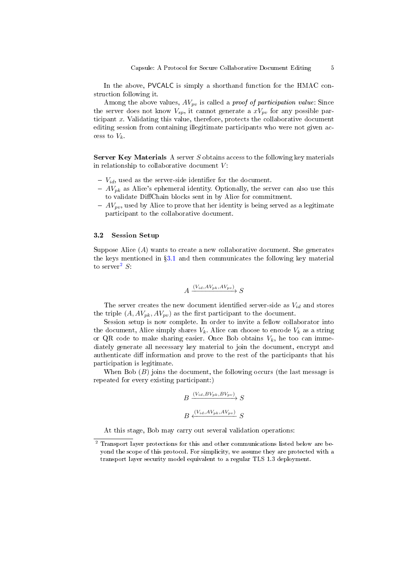In the above, PVCALC is simply a shorthand function for the HMAC construction following it.

Among the above values,  $AV_{pv}$  is called a *proof of participation value*: Since the server does not know  $V_{sp}$ , it cannot generate a  $xV_{pv}$  for any possible participant  $x$ . Validating this value, therefore, protects the collaborative document editing session from containing illegitimate participants who were not given access to  $V_k$ .

**Server Key Materials** A server  $S$  obtains access to the following key materials in relationship to collaborative document  $V$ :

- $V_{id}$ , used as the server-side identifier for the document.
- $AV_{pk}$  as Alice's ephemeral identity. Optionally, the server can also use this to validate DiChain blocks sent in by Alice for commitment.
- $AV_{pv}$ , used by Alice to prove that her identity is being served as a legitimate participant to the collaborative document.

#### 3.2 Session Setup

Suppose Alice (A) wants to create a new collaborative document. She generates the keys mentioned in  $\S3.1$  $\S3.1$  and then communicates the following key material to server<sup>[2](#page-4-0)</sup>  $S$ :

$$
A \xrightarrow{(V_{id}, AV_{pk}, AV_{pv})} S
$$

The server creates the new document identified server-side as  $V_{id}$  and stores the triple  $(A, AV_{pk}, AV_{pv})$  as the first participant to the document.

Session setup is now complete. In order to invite a fellow collaborator into the document, Alice simply shares  $V_k$ . Alice can choose to encode  $V_k$  as a string or QR code to make sharing easier. Once Bob obtains  $V_k$ , he too can immediately generate all necessary key material to join the document, encrypt and authenticate diff information and prove to the rest of the participants that his participation is legitimate.

When Bob  $(B)$  joins the document, the following occurs (the last message is repeated for every existing participant:)

$$
B \xrightarrow{(V_{id}, BV_{pk}, BV_{pv})} S
$$

$$
B \xleftarrow{(V_{id}, AV_{pk}, AV_{pv})} S
$$

At this stage, Bob may carry out several validation operations:

<span id="page-4-0"></span><sup>2</sup> Transport layer protections for this and other communications listed below are beyond the scope of this protocol. For simplicity, we assume they are protected with a transport layer security model equivalent to a regular TLS 1.3 deployment.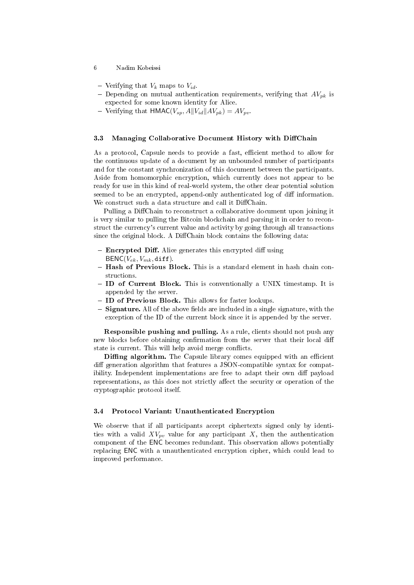- Verifying that  $V_k$  maps to  $V_{id}$ .
- Depending on mutual authentication requirements, verifying that  $AV_{pk}$  is expected for some known identity for Alice.
- Verifying that  $HMAC(V_{sp}, A||V_{id}||AV_{pk}) = AV_{pv}$ .

### <span id="page-5-0"></span>3.3 Managing Collaborative Document History with DiffChain

As a protocol, Capsule needs to provide a fast, efficient method to allow for the continuous update of a document by an unbounded number of participants and for the constant synchronization of this document between the participants. Aside from homomorphic encryption, which currently does not appear to be ready for use in this kind of real-world system, the other clear potential solution seemed to be an encrypted, append-only authenticated log of diff information. We construct such a data structure and call it DiffChain.

Pulling a DiffChain to reconstruct a collaborative document upon joining it is very similar to pulling the Bitcoin blockchain and parsing it in order to reconstruct the currency's current value and activity by going through all transactions since the original block. A DiffChain block contains the following data:

- $\overline{\phantom{a}}$  Encrypted Diff. Alice generates this encrypted diff using  $BENC(V_{ek}, V_{mk}, diff)$ .
- Hash of Previous Block. This is a standard element in hash chain constructions.
- ID of Current Block. This is conventionally a UNIX timestamp. It is appended by the server.
- $-$  ID of Previous Block. This allows for faster lookups.
- $S$  Signature. All of the above fields are included in a single signature, with the exception of the ID of the current block since it is appended by the server.

Responsible pushing and pulling. As a rule, clients should not push any new blocks before obtaining confirmation from the server that their local diff state is current. This will help avoid merge conflicts.

**Diffing algorithm.** The Capsule library comes equipped with an efficient diff generation algorithm that features a JSON-compatible syntax for compatibility. Independent implementations are free to adapt their own diff payload representations, as this does not strictly affect the security or operation of the cryptographic protocol itself.

### 3.4 Protocol Variant: Unauthenticated Encryption

We observe that if all participants accept ciphertexts signed only by identities with a valid  $XV_{pv}$  value for any participant X, then the authentication component of the ENC becomes redundant. This observation allows potentially replacing ENC with a unauthenticated encryption cipher, which could lead to improved performance.

<sup>6</sup> Nadim Kobeissi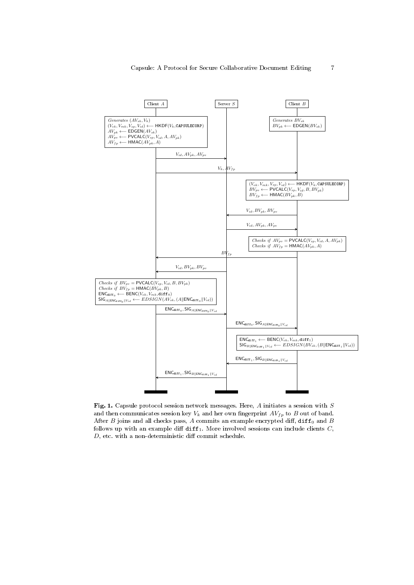

Fig. 1. Capsule protocol session network messages. Here,  $A$  initiates a session with  $S$ and then communicates session key  $V_k$  and her own fingerprint  $AV_{fp}$  to B out of band. After  $B$  joins and all checks pass,  $A$  commits an example encrypted diff,  $diff_0$  and  $B$ follows up with an example diff  $diff_1$ . More involved sessions can include clients  $C$ ,  $D$ , etc. with a non-deterministic diff commit schedule.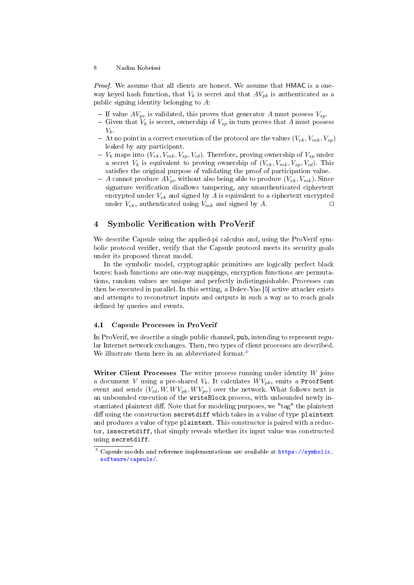<span id="page-7-1"></span>Proof. We assume that all clients are honest. We assume that HMAC is a oneway keyed hash function, that  $V_k$  is secret and that  $AV_{pk}$  is authenticated as a public signing identity belonging to A:

- If value  $AV_{pv}$  is validated, this proves that generator A must possess  $V_{sp}$ .
- Given that  $V_k$  is secret, ownership of  $V_{sp}$  in turn proves that A must possess  $V_k$ .
- $-$  At no point in a correct execution of the protocol are the values  $(V_{ek}, V_{mk}, V_{sp})$ leaked by any participant.
- $V_k$  maps into  $(V_{ek}, V_{mk}, V_{sp}, V_{id})$ . Therefore, proving ownership of  $V_{sp}$  under a secret  $V_k$  is equivalent to proving ownership of  $(V_{ek}, V_{mk}, V_{sp}, V_{id})$ . This satisfies the original purpose of validating the proof of participation value.
- $-A$  cannot produce  $AV_{pv}$  without also being able to produce  $(V_{ek}, V_{mk})$ . Since signature verification disallows tampering, any unauthenticated ciphertext encrypted under  $V_{ek}$  and signed by A is equivalent to a ciphertext encrypted under  $V_{ek}$ , authenticated using  $V_{mk}$  and signed by A.

# 4 Symbolic Verification with ProVerif

We describe Capsule using the applied-pi calculus and, using the ProVerif symbolic protocol verifier, verify that the Capsule protocol meets its security goals under its proposed threat model.

In the symbolic model, cryptographic primitives are logically perfect black boxes: hash functions are one-way mappings, encryption functions are permutations, random values are unique and perfectly indistinguishable. Processes can then be executed in parallel. In this setting, a Dolev-Yao [\[5\]](#page-13-4) active attacker exists and attempts to reconstruct inputs and outputs in such a way as to reach goals defined by queries and events.

#### 4.1 Capsule Processes in ProVerif

In ProVerif, we describe a single public channel, pub, intending to represent regular Internet network exchanges. Then, two types of client processes are described. We illustrate them here in an abbreviated format.<sup>[3](#page-7-0)</sup>

Writer Client Processes The writer process running under identity  $W$  joins a document V using a pre-shared  $V_k$ . It calculates  $W V_{pk}$ , emits a ProofSent event and sends  $(V_{id}, W, W V_{pk}, W V_{pv})$  over the network. What follows next is an unbounded execution of the writeBlock process, with unbounded newly instantiated plaintext diff. Note that for modeling purposes, we "tag" the plaintext diff using the construction secretdiff which takes in a value of type plaintext and produces a value of type plaintext. This constructor is paired with a reductor, issecretdiff, that simply reveals whether its input value was constructed using secretdiff.

<span id="page-7-0"></span><sup>3</sup> Capsule models and reference implementations are available at [https://symbolic.](https://symbolic.software/capsule/) [software/capsule/.](https://symbolic.software/capsule/)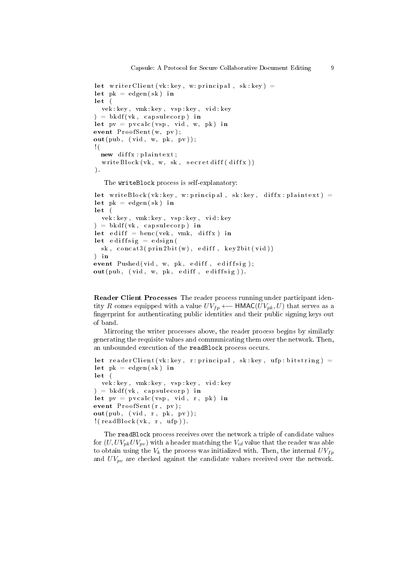```
let writer Client (vk: key, w: principal, sk: key) =
let pk = edgen ( sk) in
\mathbf{let}vek : key , vmk : key , vsp : key , vid : key
) = b k df ( v k, c a p s u le c o r p) in
let pv = p v calc ( vsp, vid, w, pk) in
event ProofSetext{}, pv ;
out(pub, (vid, w, pk, pv));! (
  new diffx : plaintext;
  writeBlock(vk, w, sk, secretdiff(diffx))) .
```
The writeBlock process is self-explanatory:

```
let write Block (vk: key, w: principal, sk: key, diffx: plaintext) =
let pk = edgen ( sk) in
letvek : key , vmk : key , vsp : key , vid : key
) = b k df ( v k, c a p s u le c o r p) in
let ediff = benc (vek, vmk, diffx) in
let ediffsig = edsign(
  sk, concat3 (prin2 bit (w), editf, key2 bit (vid))
) in
event Pushed ( vid, w, pk, ediff, ediffsig);out( pub, (vid, w, pk, ediff, ediffsig)).
```
Reader Client Processes The reader process running under participant identity R comes equipped with a value  $UV_{fp}$  ← HMAC( $UV_{pk}, U$ ) that serves as a ngerprint for authenticating public identities and their public signing keys out of band.

Mirroring the writer processes above, the reader process begins by similarly generating the requisite values and communicating them over the network. Then, an unbounded execution of the readBlock process occurs.

```
let reader Client (vk: key, r: principal, sk: key, ufp: bitstring) =
let pk = edgen ( sk) in
letvek : key , vmk : key , vsp : key , vid : key
) = b k df ( v k, c a p s u le c o r p) inlet pv = p v calc ( vsp, vid, r, pk) in
event ProofSent(r, pv);
\textbf{out}(\text{pub}, (\text{vid}, \text{r}, \text{pk}, \text{pv}));! (readBlock(vk, r, ufp)).
```
The readBlock process receives over the network a triple of candidate values for  $(U, UV_{pk}UV_{pv})$  with a header matching the  $V_{id}$  value that the reader was able to obtain using the  $V_k$  the process was initialized with. Then, the internal  $UV_{fp}$ and  $UV_{pv}$  are checked against the candidate values received over the network.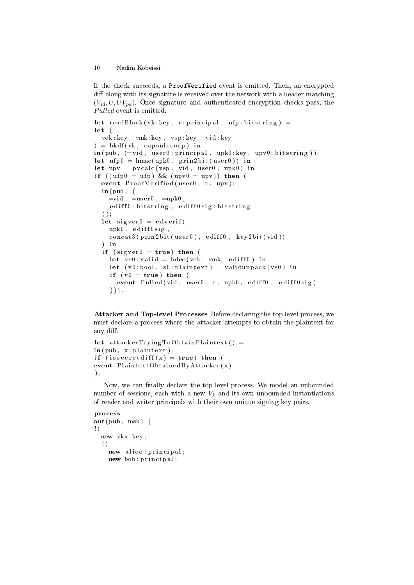If the check succeeds, a ProofVerified event is emitted. Then, an encrypted diff along with its signature is received over the network with a header matching  $(V_{id}, U, UV_{pk})$ . Once signature and authenticated encryption checks pass, the Pulled event is emitted.

```
let readBlock (vk: key, r: principal, ufp: bitstring) =
let (vek : key , vmk : key , vsp : key , vid : key
) = b k df(vk, cap subecorp) in\textbf{in} \left( \text{pub} \right), \left( = \text{vid} \right., \text{ user0: principal} \right., \text{ upk0: key} \right., \text{ upv0: bitstring});
let \; ufp0 = hmac( upk0, \; prin2 bit( user0)) \; inlet upv = pvalue ( vsp, vid, user0, upk0) in
if ((\text{ufp0} = \text{ufp}) \& ( \text{upv0} = \text{upv}) ) then (
  event ProofVerified(user0, r, upv);\mathbf{in} ( \mathbf{pub} , \phi )
     =vid, =u\text{ser } 0, =upk0,
     ediff0: \text{bitstring}, \text{ediff0} \, \text{sig} : \text{bitstring}) ) ;
  let sigver0 = edverifupk0, ediff0sig,
     concat3(prin2bit(user0), editfb, key2bit(vid))) in
  if (sigver0 = true) then (
     let vs0 : valid = bdec( vek, vmk, ediff0) in
     let (v0 : bool, s0 : plain text) = validunpack(vs0) inif (v0 = true) then (
        event Pulled (vid, user0, r, upk0, ediff0, ediff0sig)
     ) ) ) .
```
Attacker and Top-level Processes Before declaring the top-level process, we must declare a process where the attacker attempts to obtain the plaintext for any diff:

```
let at tacker Trying ToObtain Plain text() =\text{in} (\text{pub}, \text{x} : \text{plaintext});
if (issecretdiff (x) = true) then (
event PlaintextObtainedByAttacker(x)
) .
```
Now, we can finally declare the top-level process. We model an unbounded number of sessions, each with a new  $V_k$  and its own unbounded instantiations of reader and writer principals with their own unique signing key pairs.

```
process
out( pub, msk) |
! (
  new vkx : key ;
  ! (
    new alice : principal;
    new bob : principal;
```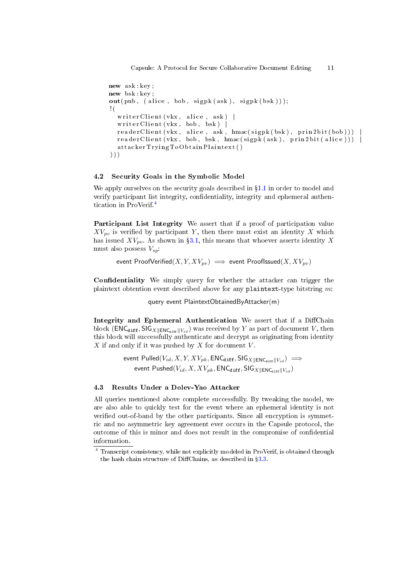```
new ask : key ;
new bsk: key
out(pub, (alice, bob, sigpk(ask), sigpk(bsk)));
! (
  writ er Client (vkx ,  alice ,  ask)   |
  writ er Client (vkx , bob , bsk ) |
  r e a d er Client ( vkx, alice, ask, hmac ( sign k (bsk) , prin 2 b it ( bob ) ) )
  readerClient(vkx, bob,bsk, hmac(sigpk(ask), prin2bit(alice)))attackerTryingToObtainPlaintext()
) ) )
```
### 4.2 Security Goals in the Symbolic Model

We apply ourselves on the security goals described in  $\S1.1$  $\S1.1$  in order to model and verify participant list integrity, confidentiality, integrity and ephemeral authentication in ProVerif.[4](#page-10-0)

Participant List Integrity We assert that if a proof of participation value  $XV_{pv}$  is verified by participant Y, then there must exist an identity X which has issued  $XV_{pv}$ . As shown in §[3.1,](#page-3-1) this means that whoever asserts identity X must also possess  $V_{sn}$ :

event ProofVerified $(X, Y, XV_{pv}) \implies$  event ProofIssued $(X, XV_{pv})$ 

Confidentiality We simply query for whether the attacker can trigger the plaintext obtention event described above for any plaintext-type bitstring  $m$ :

query event PlaintextObtainedByAttacker(m)

Integrity and Ephemeral Authentication We assert that if a DiffChain block (ENC<sub>diff</sub>, SIG<sub>X||ENC<sub>diff</sub>||V<sub>id</sub>) was received by Y as part of document V, then</sub> this block will successfully authenticate and decrypt as originating from identity  $X$  if and only if it was pushed by  $X$  for document  $V$ .

> event  $Pulled(V<sub>id</sub>, X, Y, XV<sub>pk</sub>, ENC<sub>diff</sub>, SIG<sub>X||ENC<sub>diff</sub>||V<sub>id</sub>)  $\implies$ </sub></sub>$ event  $\mathsf{Pushed}(V_{id}, X, XV_{pk}, \mathsf{ENC}_{\text{diff}}, \mathsf{SIG}_{X\|\mathsf{ENC}_{\text{diff}}\|V_{id} })$

### 4.3 Results Under a Dolev-Yao Attacker

All queries mentioned above complete successfully. By tweaking the model, we are also able to quickly test for the event where an ephemeral identity is not verified out-of-band by the other participants. Since all encryption is symmetric and no asymmetric key agreement ever occurs in the Capsule protocol, the outcome of this is minor and does not result in the compromise of condential information.

<span id="page-10-0"></span><sup>4</sup> Transcript consistency, while not explicitly modeled in ProVerif, is obtained through the hash chain structure of DiffChains, as described in  $\S 3.3$ .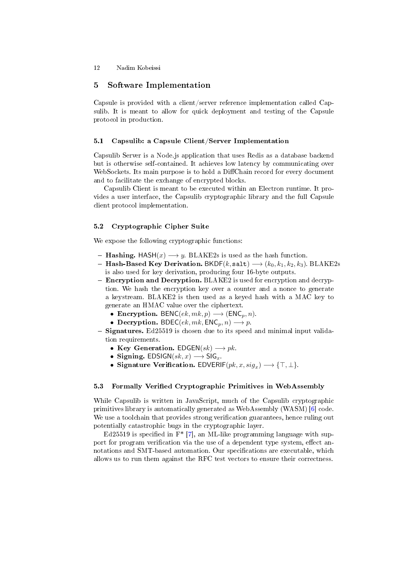### <span id="page-11-1"></span>5 Software Implementation

Capsule is provided with a client/server reference implementation called Capsulib. It is meant to allow for quick deployment and testing of the Capsule protocol in production.

# 5.1 Capsulib: a Capsule Client/Server Implementation

Capsulib Server is a Node.js application that uses Redis as a database backend but is otherwise self-contained. It achieves low latency by communicating over WebSockets. Its main purpose is to hold a DiffChain record for every document and to facilitate the exchange of encrypted blocks.

Capsulib Client is meant to be executed within an Electron runtime. It provides a user interface, the Capsulib cryptographic library and the full Capsule client protocol implementation.

### <span id="page-11-0"></span>5.2 Cryptographic Cipher Suite

We expose the following cryptographic functions:

- $-Hashing. HASH(x) \longrightarrow y. BLAKE2s$  is used as the hash function.
- Hash-Based Key Derivation. BKDF(k, salt)  $\longrightarrow$  (k<sub>0</sub>, k<sub>1</sub>, k<sub>2</sub>, k<sub>3</sub>). BLAKE2s is also used for key derivation, producing four 16-byte outputs.
- **Encryption and Decryption.** BLAKE2 is used for encryption and decryption. We hash the encryption key over a counter and a nonce to generate a keystream. BLAKE2 is then used as a keyed hash with a MAC key to generate an HMAC value over the ciphertext.
	- Encryption. BENC( $ek, mk, p$ )  $\longrightarrow$  (ENC<sub>p</sub>, n).
	- Decryption. BDEC( $ek, mk, ENC_p, n$ )  $\longrightarrow p$ .
- $-$  Signatures. Ed25519 is chosen due to its speed and minimal input validation requirements.
	- Key Generation.  $EDGEN(sk) \longrightarrow pk$ .
	- Signing.  $EDSIGN(sk, x) \longrightarrow SIG<sub>x</sub>$ .
	- Signature Verification.  $EDVERIF(pk, x, sig_x) \longrightarrow \{\top, \bot\}.$

### 5.3 Formally Verified Cryptographic Primitives in WebAssembly

While Capsulib is written in JavaScript, much of the Capsulib cryptographic primitives library is automatically generated as WebAssembly (WASM) [\[6\]](#page-13-5) code. We use a toolchain that provides strong verification guarantees, hence ruling out potentially catastrophic bugs in the cryptographic layer.

Ed25519 is specified in  $F^*$  [\[7\]](#page-13-6), an ML-like programming language with support for program verification via the use of a dependent type system, effect annotations and SMT-based automation. Our specifications are executable, which allows us to run them against the RFC test vectors to ensure their correctness.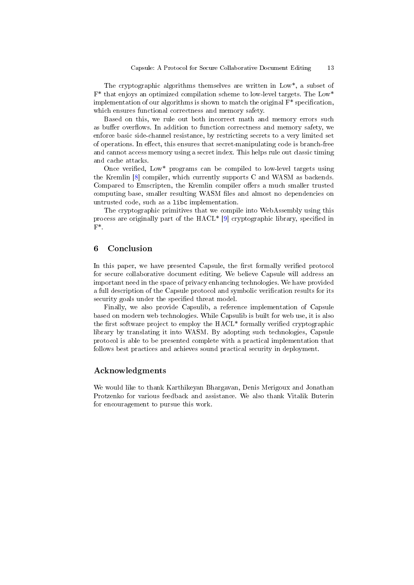<span id="page-12-0"></span>The cryptographic algorithms themselves are written in Low\*, a subset of F\* that enjoys an optimized compilation scheme to low-level targets. The Low\* implementation of our algorithms is shown to match the original  $F^*$  specification, which ensures functional correctness and memory safety.

Based on this, we rule out both incorrect math and memory errors such as buffer overflows. In addition to function correctness and memory safety, we enforce basic side-channel resistance, by restricting secrets to a very limited set of operations. In effect, this ensures that secret-manipulating code is branch-free and cannot access memory using a secret index. This helps rule out classic timing and cache attacks.

Once verified, Low\* programs can be compiled to low-level targets using the Kremlin [\[8\]](#page-13-7) compiler, which currently supports C and WASM as backends. Compared to Emscripten, the Kremlin compiler offers a much smaller trusted computing base, smaller resulting WASM files and almost no dependencies on untrusted code, such as a libc implementation.

The cryptographic primitives that we compile into WebAssembly using this process are originally part of the  $HACL^*$  [\[9\]](#page-13-8) cryptographic library, specified in  $F^*$ 

# 6 Conclusion

In this paper, we have presented Capsule, the first formally verified protocol for secure collaborative document editing. We believe Capsule will address an important need in the space of privacy enhancing technologies. We have provided a full description of the Capsule protocol and symbolic verification results for its security goals under the specified threat model.

Finally, we also provide Capsulib, a reference implementation of Capsule based on modern web technologies. While Capsulib is built for web use, it is also the first software project to employ the  $HACL^*$  formally verified cryptographic library by translating it into WASM. By adopting such technologies, Capsule protocol is able to be presented complete with a practical implementation that follows best practices and achieves sound practical security in deployment.

# Acknowledgments

We would like to thank Karthikeyan Bhargavan, Denis Merigoux and Jonathan Protzenko for various feedback and assistance. We also thank Vitalik Buterin for encouragement to pursue this work.